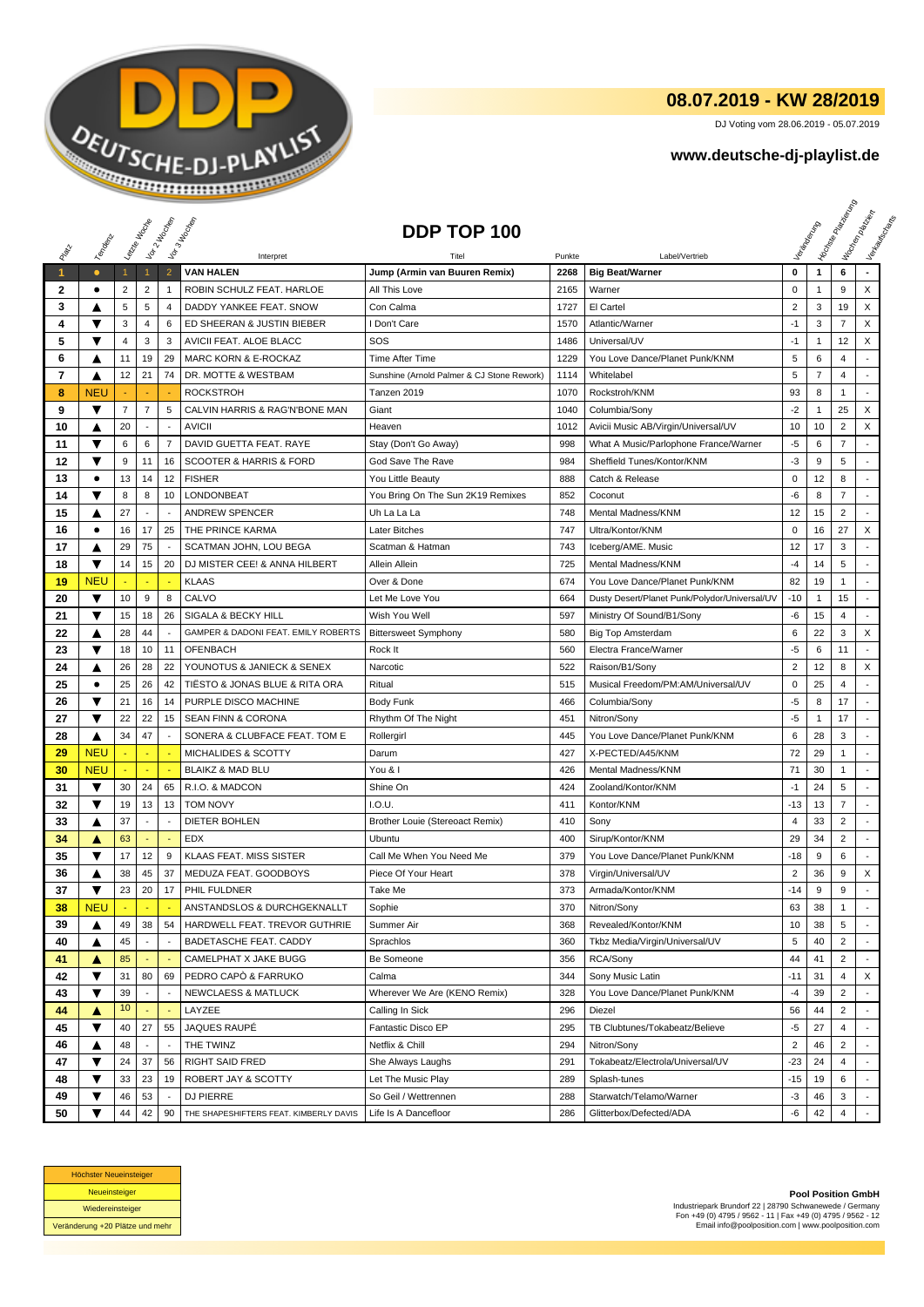

## **08.07.2019 - KW 28/2019**

DJ Voting vom 28.06.2019 - 05.07.2019

## **www.deutsche-dj-playlist.de**

|              |                 | Leizie Hacop   |                          | Voir 2 Moone             | Vor3 Incolas                                           | DDP TOP 100                                    |              |                                               |                |                | <b>I Yon<sub>do Papi</sub></b>   | Workenberg<br>Verksungsmarket |
|--------------|-----------------|----------------|--------------------------|--------------------------|--------------------------------------------------------|------------------------------------------------|--------------|-----------------------------------------------|----------------|----------------|----------------------------------|-------------------------------|
| PRIM         | Templomic       |                |                          |                          |                                                        |                                                |              |                                               |                |                |                                  |                               |
|              |                 |                |                          | $\overline{2}$           | Interpret<br><b>VAN HALEN</b>                          |                                                | Punkte       | Label/Vertrieb                                | 0              |                | 6                                |                               |
| $\mathbf{1}$ | $\bullet$<br>٠  | $\mathbf{1}$   | $\overline{2}$           | $\mathbf{1}$             | ROBIN SCHULZ FEAT. HARLOE                              | Jump (Armin van Buuren Remix)<br>All This Love | 2268         | <b>Big Beat/Warner</b>                        | 0              | $\mathbf{1}$   | 9                                | X                             |
| 2<br>3       |                 | 2<br>5         | 5                        | 4                        | DADDY YANKEE FEAT, SNOW                                | Con Calma                                      | 2165<br>1727 | Warner<br>El Cartel                           | $\overline{2}$ | 1<br>3         | 19                               | X                             |
| 4            | ▲<br>▼          | 3              | $\overline{4}$           |                          |                                                        | I Don't Care                                   | 1570         | Atlantic/Warner                               | $-1$           | 3              | $\overline{7}$                   | X                             |
| 5            | ▼               | $\overline{4}$ | 3                        | 6<br>3                   | ED SHEERAN & JUSTIN BIEBER                             | SOS                                            | 1486         | Universal/UV                                  | $-1$           | -1             | 12                               | X                             |
|              |                 |                | 19                       | 29                       | AVICII FEAT. ALOE BLACC                                | Time After Time                                | 1229         |                                               | 5              | 6              | 4                                |                               |
| 6<br>7       | ▲               | 11<br>12       | 21                       | 74                       | <b>MARC KORN &amp; E-ROCKAZ</b><br>DR. MOTTE & WESTBAM | Sunshine (Arnold Palmer & CJ Stone Rework)     | 1114         | You Love Dance/Planet Punk/KNM<br>Whitelabel  | 5              | $\overline{7}$ | 4                                |                               |
|              | ▲<br><b>NEU</b> |                |                          |                          |                                                        |                                                |              |                                               | 93             | 8              |                                  | $\overline{\phantom{a}}$      |
| 8<br>9       | ▼               | $\overline{7}$ | 7                        | 5                        | <b>ROCKSTROH</b><br>CALVIN HARRIS & RAG'N'BONE MAN     | Tanzen 2019<br>Giant                           | 1070<br>1040 | Rockstroh/KNM                                 | $-2$           | 1              | 1<br>25                          | X                             |
|              |                 |                |                          | $\overline{\phantom{a}}$ |                                                        |                                                |              | Columbia/Sony                                 |                |                |                                  |                               |
| 10           | ▲<br>▼          | 20             |                          |                          | <b>AVICII</b><br>DAVID GUETTA FEAT. RAYE               | Heaven                                         | 1012         | Avicii Music AB/Virgin/Universal/UV           | 10             | 10             | $\overline{2}$<br>$\overline{7}$ | X<br>$\sim$                   |
| 11           |                 | 6              | 6                        | $\overline{7}$           |                                                        | Stay (Don't Go Away)                           | 998          | What A Music/Parlophone France/Warner         | $-5$           | 6              |                                  |                               |
| 12           | ▼               | 9              | 11                       | 16                       | <b>SCOOTER &amp; HARRIS &amp; FORD</b>                 | God Save The Rave                              | 984          | Sheffield Tunes/Kontor/KNM                    | $-3$           | 9              | 5                                |                               |
| 13           | $\bullet$       | 13             | 14                       | 12                       | <b>FISHER</b>                                          | You Little Beauty                              | 888          | Catch & Release                               | $\mathbf 0$    | 12             | 8                                |                               |
| 14           | ▼               | 8              | 8                        | 10                       | LONDONBEAT                                             | You Bring On The Sun 2K19 Remixes              | 852          | Coconut                                       | $-6$           | 8              | $\overline{7}$                   | $\blacksquare$                |
| 15           | ▲               | 27             | ÷,                       |                          | <b>ANDREW SPENCER</b>                                  | Uh La La La                                    | 748          | Mental Madness/KNM                            | 12             | 15             | $\overline{c}$                   | $\overline{a}$                |
| 16           | ٠               | 16             | 17                       | 25                       | THE PRINCE KARMA                                       | Later Bitches                                  | 747          | Ultra/Kontor/KNM                              | 0              | 16             | 27                               | X                             |
| 17           | Δ               | 29             | 75                       | $\overline{\phantom{a}}$ | SCATMAN JOHN, LOU BEGA                                 | Scatman & Hatman                               | 743          | Iceberg/AME. Music                            | 12             | 17             | 3                                |                               |
| 18           | ▼               | 14             | 15                       | 20                       | DJ MISTER CEE! & ANNA HILBERT                          | Allein Allein                                  | 725          | Mental Madness/KNM                            | $-4$           | 14             | 5                                |                               |
| 19           | <b>NEU</b>      |                |                          |                          | <b>KLAAS</b>                                           | Over & Done                                    | 674          | You Love Dance/Planet Punk/KNM                | 82             | 19             | 1                                |                               |
| 20           | ▼               | 10             | 9                        | 8                        | CALVO                                                  | Let Me Love You                                | 664          | Dusty Desert/Planet Punk/Polydor/Universal/UV | $-10$          | $\mathbf{1}$   | 15                               | ÷                             |
| 21           | ▼               | 15             | 18                       | 26                       | SIGALA & BECKY HILL                                    | Wish You Well                                  | 597          | Ministry Of Sound/B1/Sony                     | -6             | 15             | $\overline{4}$                   | ٠                             |
| 22           | ▲               | 28             | 44                       | $\sim$                   | GAMPER & DADONI FEAT. EMILY ROBERTS                    | <b>Bittersweet Symphony</b>                    | 580          | <b>Big Top Amsterdam</b>                      | 6              | 22             | 3                                | X                             |
| 23           | ▼               | 18             | 10                       | 11                       | <b>OFENBACH</b>                                        | Rock It                                        | 560          | Electra France/Warner                         | $-5$           | 6              | 11                               |                               |
| 24           | ▲               | 26             | 28                       | 22                       | YOUNOTUS & JANIECK & SENEX                             | Narcotic                                       | 522          | Raison/B1/Sony                                | $\overline{2}$ | 12             | 8                                | X                             |
| 25           | $\bullet$       | 25             | 26                       | 42                       | TIESTO & JONAS BLUE & RITA ORA                         | Ritual                                         | 515          | Musical Freedom/PM:AM/Universal/UV            | $\mathbf 0$    | 25             | 4                                |                               |
| 26           | ▼               | 21             | 16                       | 14                       | PURPLE DISCO MACHINE                                   | Body Funk                                      | 466          | Columbia/Sony                                 | $-5$           | 8              | 17                               |                               |
| 27           | ▼               | 22             | 22                       | 15                       | <b>SEAN FINN &amp; CORONA</b>                          | Rhythm Of The Night                            | 451          | Nitron/Sony                                   | $-5$           | 1              | 17                               | $\overline{a}$                |
| 28           | ▲               | 34             | 47                       |                          | SONERA & CLUBFACE FEAT. TOM E                          | Rollergirl                                     | 445          | You Love Dance/Planet Punk/KNM                | 6              | 28             | 3                                |                               |
| 29           | NEU             |                |                          |                          | MICHALIDES & SCOTTY                                    | Darum                                          | 427          | X-PECTED/A45/KNM                              | 72             | 29             | $\mathbf{1}$                     |                               |
| 30           | <b>NEU</b>      |                |                          | ٠.                       | <b>BLAIKZ &amp; MAD BLU</b>                            | You & I                                        | 426          | Mental Madness/KNM                            | 71             | 30             | 1                                | $\overline{a}$                |
| 31           | ▼               | 30             | 24                       | 65                       | R.I.O. & MADCON                                        | Shine On                                       | 424          | Zooland/Kontor/KNM                            | $-1$           | 24             | 5                                |                               |
| 32           | ▼               | 19             | 13                       | 13                       | <b>TOM NOVY</b>                                        | I.O.U.                                         | 411          | Kontor/KNM                                    | -13            | 13             | $\overline{7}$                   |                               |
| 33           | ▲               | 37             |                          | $\overline{\phantom{a}}$ | DIETER BOHLEN                                          | Brother Louie (Stereoact Remix)                | 410          | Sony                                          | $\overline{4}$ | 33             | $\overline{2}$                   |                               |
| 34           | ▲               | 63             | ä,                       |                          | <b>EDX</b>                                             | Ubuntu                                         | 400          | Sirup/Kontor/KNM                              | 29             | 34             | $\overline{2}$                   | $\overline{a}$                |
| 35           | ▼               | 17             | 12                       | 9                        | <b>KLAAS FEAT. MISS SISTER</b>                         | Call Me When You Need Me                       | 379          | You Love Dance/Planet Punk/KNM                | $-18$          | 9              | 6                                |                               |
| 36           | ▲               | 38             | 45                       | 37                       | MEDUZA FEAT. GOODBOYS                                  | Piece Of Your Heart                            | 378          | Virgin/Universal/UV                           | $\overline{2}$ | 36             | 9                                | X                             |
| 37           | ▼               | 23             | 20                       | 17                       | PHIL FULDNER                                           | Take Me                                        | 373          | Armada/Kontor/KNM                             | $-14$          | 9              | 9                                | ÷                             |
| 38           | <b>NEU</b>      |                |                          |                          | ANSTANDSLOS & DURCHGEKNALLT                            | Sophie                                         | 370          | Nitron/Sony                                   | 63             | 38             | 1                                |                               |
| 39           | ▲               | 49             | 38                       | 54                       | HARDWELL FEAT. TREVOR GUTHRIE                          | Summer Air                                     | 368          | Revealed/Kontor/KNM                           | 10             | 38             | 5                                |                               |
| 40           | ▲               | 45             | $\overline{\phantom{a}}$ |                          | BADETASCHE FEAT. CADDY                                 | Sprachlos                                      | 360          | Tkbz Media/Virgin/Universal/UV                | 5              | 40             | $\overline{2}$                   |                               |
| 41           | ▲               | 85             |                          |                          | CAMELPHAT X JAKE BUGG                                  | Be Someone                                     | 356          | RCA/Sony                                      | 44             | 41             | $\overline{2}$                   |                               |
| 42           | ▼               | 31             | 80                       | 69                       | PEDRO CAPÓ & FARRUKO                                   | Calma                                          | 344          | Sony Music Latin                              | $-11$          | 31             | 4                                | X                             |
| 43           | ▼               | 39             |                          |                          | NEWCLAESS & MATLUCK                                    | Wherever We Are (KENO Remix)                   | 328          | You Love Dance/Planet Punk/KNM                | $-4$           | 39             | 2                                |                               |
| 44           | A               | 10             |                          |                          | LAYZEE                                                 | Calling In Sick                                | 296          | Diezel                                        | 56             | 44             | $\overline{2}$                   |                               |
| 45           | ▼               | 40             | 27                       | 55                       | JAQUES RAUPÉ                                           | Fantastic Disco EP                             | 295          | TB Clubtunes/Tokabeatz/Believe                | $-5$           | 27             | 4                                |                               |
| 46           | ▲               | 48             |                          |                          | THE TWINZ                                              | Netflix & Chill                                | 294          | Nitron/Sony                                   | $\overline{2}$ | 46             | $\overline{2}$                   | $\blacksquare$                |
| 47           | ▼               | 24             | 37                       | 56                       | <b>RIGHT SAID FRED</b>                                 | She Always Laughs                              | 291          | Tokabeatz/Electrola/Universal/UV              | $-23$          | 24             | 4                                |                               |
| 48           | ▼               | 33             | 23                       | 19                       | ROBERT JAY & SCOTTY                                    | Let The Music Play                             | 289          | Splash-tunes                                  | -15            | 19             | 6                                |                               |
| 49           | ▼               | 46             | 53                       |                          | DJ PIERRE                                              | So Geil / Wettrennen                           | 288          | Starwatch/Telamo/Warner                       | $-3$           | 46             | 3                                |                               |
| 50           | ▼               | 44             | 42                       | 90                       | THE SHAPESHIFTERS FEAT. KIMBERLY DAVIS                 | Life Is A Dancefloor                           | 286          | Glitterbox/Defected/ADA                       | -6             | 42             | $\overline{4}$                   |                               |



**Pool Position GmbH** Industriepark Brundorf 22 | 28790 Schwanewede / Germany Fon +49 (0) 4795 / 9562 - 11 | Fax +49 (0) 4795 / 9562 - 12 Email info@poolposition.com | www.poolposition.com